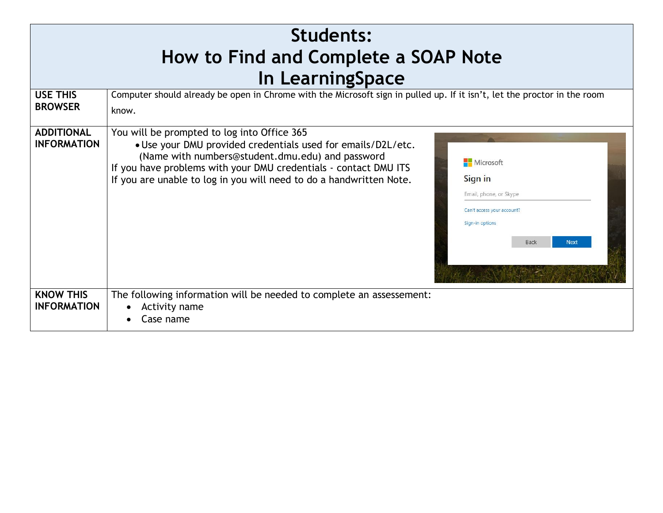| Students:<br>How to Find and Complete a SOAP Note |                                                                                                                                                                                                                                                                                                                                                                                                                                      |  |  |  |
|---------------------------------------------------|--------------------------------------------------------------------------------------------------------------------------------------------------------------------------------------------------------------------------------------------------------------------------------------------------------------------------------------------------------------------------------------------------------------------------------------|--|--|--|
| In LearningSpace                                  |                                                                                                                                                                                                                                                                                                                                                                                                                                      |  |  |  |
| <b>USE THIS</b><br><b>BROWSER</b>                 | Computer should already be open in Chrome with the Microsoft sign in pulled up. If it isn't, let the proctor in the room<br>know.                                                                                                                                                                                                                                                                                                    |  |  |  |
| <b>ADDITIONAL</b><br><b>INFORMATION</b>           | You will be prompted to log into Office 365<br>. Use your DMU provided credentials used for emails/D2L/etc.<br>(Name with numbers@student.dmu.edu) and password<br>Microsoft<br>If you have problems with your DMU credentials - contact DMU ITS<br>If you are unable to log in you will need to do a handwritten Note.<br>Sign in<br>Email, phone, or Skype<br>Can't access your account?<br>Sign-in options<br>Back<br><b>Next</b> |  |  |  |
| <b>KNOW THIS</b><br><b>INFORMATION</b>            | The following information will be needed to complete an assessement:<br>Activity name<br>Case name                                                                                                                                                                                                                                                                                                                                   |  |  |  |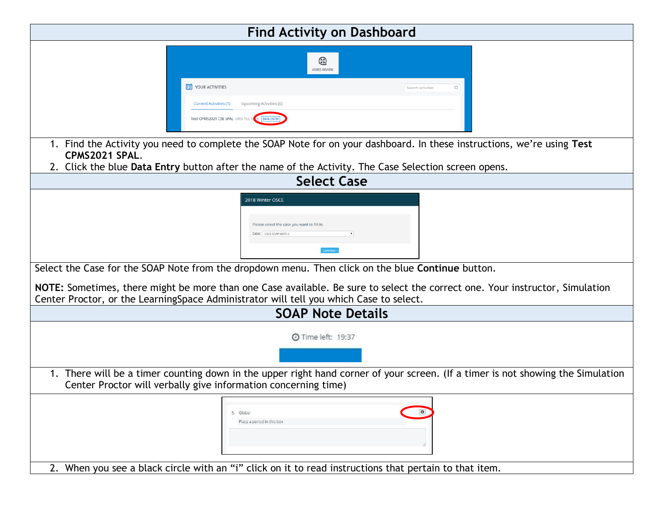| <b>Find Activity on Dashboard</b>                                                                                                                                                                                       |  |  |  |  |
|-------------------------------------------------------------------------------------------------------------------------------------------------------------------------------------------------------------------------|--|--|--|--|
| ⊛<br><b>VIDEO REVIEW</b>                                                                                                                                                                                                |  |  |  |  |
| 12 YOUR ACTIVITIES<br>Search activities                                                                                                                                                                                 |  |  |  |  |
| <b>Current Activities (1)</b><br>Upcoming Activities (0)<br>Test CPMS2021 CSE SPAL OPEN TILL                                                                                                                            |  |  |  |  |
| 1. Find the Activity you need to complete the SOAP Note for on your dashboard. In these instructions, we're using Test<br>CPMS2021 SPAL.                                                                                |  |  |  |  |
| 2. Click the blue Data Entry button after the name of the Activity. The Case Selection screen opens.                                                                                                                    |  |  |  |  |
| <b>Select Case</b>                                                                                                                                                                                                      |  |  |  |  |
| 2018 Winter OSCE<br>Please select the case you want to fill in.<br>Case: OSCE SOAP NOTE ()                                                                                                                              |  |  |  |  |
| Select the Case for the SOAP Note from the dropdown menu. Then click on the blue Continue button.                                                                                                                       |  |  |  |  |
| NOTE: Sometimes, there might be more than one Case available. Be sure to select the correct one. Your instructor, Simulation<br>Center Proctor, or the Learning Space Administrator will tell you which Case to select. |  |  |  |  |
| <b>SOAP Note Details</b>                                                                                                                                                                                                |  |  |  |  |
| <b>O</b> Time left: 19:37                                                                                                                                                                                               |  |  |  |  |
| 1. There will be a timer counting down in the upper right hand corner of your screen. (If a timer is not showing the Simulation<br>Center Proctor will verbally give information concerning time)                       |  |  |  |  |
| 5. Global<br>Place a period in this box<br>2. When you see a black circle with an "i" click on it to read instructions that pertain to that item.                                                                       |  |  |  |  |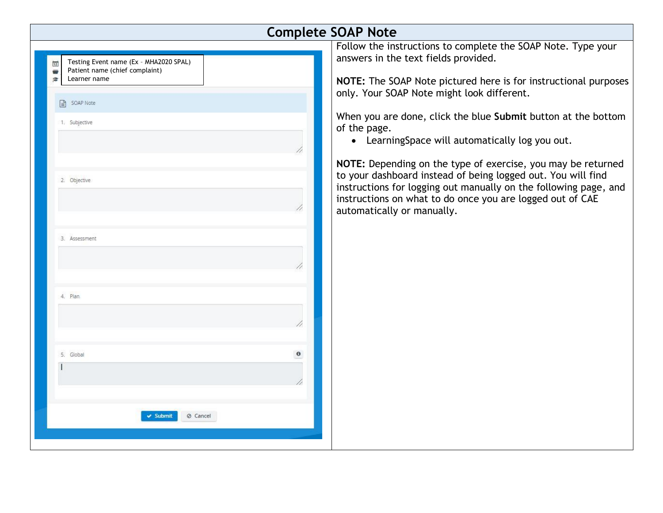| <b>Complete SOAP Note</b>                           |                                                                                                                               |  |  |  |
|-----------------------------------------------------|-------------------------------------------------------------------------------------------------------------------------------|--|--|--|
|                                                     | Follow the instructions to complete the SOAP Note. Type your                                                                  |  |  |  |
| Testing Event name (Ex - MHA2020 SPAL)<br>侸         | answers in the text fields provided.                                                                                          |  |  |  |
| Patient name (chief complaint)<br>Learner name<br>倉 | NOTE: The SOAP Note pictured here is for instructional purposes                                                               |  |  |  |
|                                                     | only. Your SOAP Note might look different.                                                                                    |  |  |  |
| SOAP Note<br>$\equiv$                               |                                                                                                                               |  |  |  |
| 1. Subjective                                       | When you are done, click the blue Submit button at the bottom<br>of the page.                                                 |  |  |  |
|                                                     | • LearningSpace will automatically log you out.                                                                               |  |  |  |
|                                                     | NOTE: Depending on the type of exercise, you may be returned                                                                  |  |  |  |
| 2. Objective                                        | to your dashboard instead of being logged out. You will find                                                                  |  |  |  |
|                                                     | instructions for logging out manually on the following page, and<br>instructions on what to do once you are logged out of CAE |  |  |  |
|                                                     | automatically or manually.                                                                                                    |  |  |  |
|                                                     |                                                                                                                               |  |  |  |
| 3. Assessment                                       |                                                                                                                               |  |  |  |
|                                                     |                                                                                                                               |  |  |  |
|                                                     |                                                                                                                               |  |  |  |
|                                                     |                                                                                                                               |  |  |  |
| 4. Plan                                             |                                                                                                                               |  |  |  |
|                                                     |                                                                                                                               |  |  |  |
|                                                     |                                                                                                                               |  |  |  |
|                                                     |                                                                                                                               |  |  |  |
| $\theta$<br>5. Global                               |                                                                                                                               |  |  |  |
|                                                     |                                                                                                                               |  |  |  |
|                                                     |                                                                                                                               |  |  |  |
|                                                     |                                                                                                                               |  |  |  |
| <b>v</b> Submit<br>⊘ Cancel                         |                                                                                                                               |  |  |  |
|                                                     |                                                                                                                               |  |  |  |
|                                                     |                                                                                                                               |  |  |  |